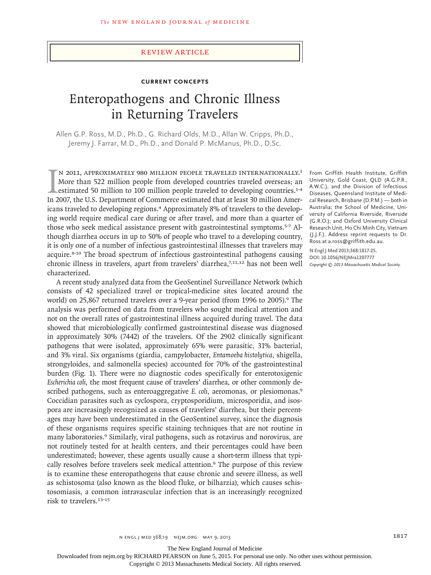#### review article

# **Current Concepts**

# Enteropathogens and Chronic Illness in Returning Travelers

Allen G.P. Ross, M.D., Ph.D., G. Richard Olds, M.D., Allan W. Cripps, Ph.D., Jeremy J. Farrar, M.D., Ph.D., and Donald P. McManus, Ph.D., D.Sc.

IN 2011, APPROXIMATELY 980 MILLION PEOPLE TRAVELED INTERNATIONALLY.<sup>1</sup> More than 522 million people from developed countries traveled overseas; an estimated 50 million to 100 million people traveled to developing countries n 2011, approximately 980 million people traveled internationally.1 More than 522 million people from developed countries traveled overseas; an estimated 50 million to 100 million people traveled to developing countries.<sup>1-4</sup> icans traveled to developing regions.4 Approximately 8% of travelers to the developing world require medical care during or after travel, and more than a quarter of those who seek medical assistance present with gastrointestinal symptoms.5-7 Although diarrhea occurs in up to 50% of people who travel to a developing country, it is only one of a number of infectious gastrointestinal illnesses that travelers may acquire.8-10 The broad spectrum of infectious gastrointestinal pathogens causing chronic illness in travelers, apart from travelers' diarrhea, $7,11,12$  has not been well characterized.

A recent study analyzed data from the GeoSentinel Surveillance Network (which consists of 42 specialized travel or tropical-medicine sites located around the world) on 25,867 returned travelers over a 9-year period (from 1996 to 2005).<sup>9</sup> The analysis was performed on data from travelers who sought medical attention and not on the overall rates of gastrointestinal illness acquired during travel. The data showed that microbiologically confirmed gastrointestinal disease was diagnosed in approximately 30% (7442) of the travelers. Of the 2902 clinically significant pathogens that were isolated, approximately 65% were parasitic, 31% bacterial, and 3% viral. Six organisms (giardia, campylobacter, *Entamoeba histolytica*, shigella, strongyloides, and salmonella species) accounted for 70% of the gastrointestinal burden (Fig. 1). There were no diagnostic codes specifically for enterotoxigenic *Escherichia coli*, the most frequent cause of travelers' diarrhea, or other commonly described pathogens, such as enteroaggregative *E. coli*, aeromonas, or plesiomonas.<sup>9</sup> Coccidian parasites such as cyclospora, cryptosporidium, microsporidia, and isospora are increasingly recognized as causes of travelers' diarrhea, but their percentages may have been underestimated in the GeoSentinel survey, since the diagnosis of these organisms requires specific staining techniques that are not routine in many laboratories.<sup>9</sup> Similarly, viral pathogens, such as rotavirus and norovirus, are not routinely tested for at health centers, and their percentages could have been underestimated; however, these agents usually cause a short-term illness that typically resolves before travelers seek medical attention.<sup>9</sup> The purpose of this review is to examine these enteropathogens that cause chronic and severe illness, as well as schistosoma (also known as the blood fluke, or bilharzia), which causes schistosomiasis, a common intravascular infection that is an increasingly recognized risk to travelers.13-15

From Griffith Health Institute, Griffith University, Gold Coast, QLD (A.G.P.R., A.W.C.), and the Division of Infectious Diseases, Queensland Institute of Medical Research, Brisbane (D.P.M.) — both in Australia; the School of Medicine, University of California Riverside, Riverside (G.R.O.); and Oxford University Clinical Research Unit, Ho Chi Minh City, Vietnam (J.J.F.). Address reprint requests to Dr. Ross at a.ross@griffith.edu.au.

**N Engl J Med 2013;368:1817-25. DOI: 10.1056/NEJMra1207777** *Copyright © 2013 Massachusetts Medical Society.*

The New England Journal of Medicine

Downloaded from nejm.org by RICHARD PEARSON on June 5, 2015. For personal use only. No other uses without permission.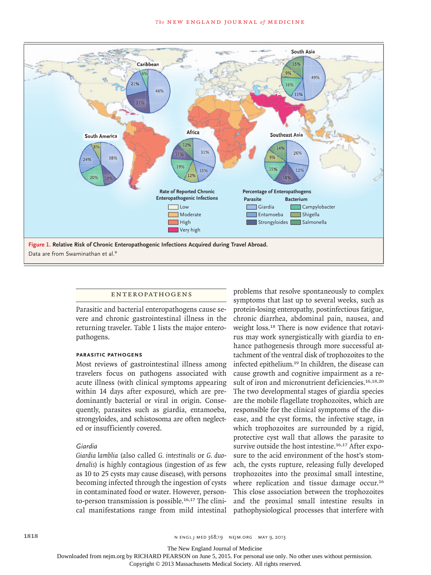

#### **ENTEROPATHOGENS**

Parasitic and bacterial enteropathogens cause severe and chronic gastrointestinal illness in the returning traveler. Table 1 lists the major enteropathogens.

#### **Parasitic Pathogens**

Most reviews of gastrointestinal illness among travelers focus on pathogens associated with acute illness (with clinical symptoms appearing within 14 days after exposure), which are predominantly bacterial or viral in origin. Consequently, parasites such as giardia, entamoeba, strongyloides, and schistosoma are often neglected or insufficiently covered.

# *Giardia*

*Giardia lamblia* (also called *G. intestinalis* or *G. duodenalis*) is highly contagious (ingestion of as few as 10 to 25 cysts may cause disease), with persons becoming infected through the ingestion of cysts in contaminated food or water. However, personto-person transmission is possible.<sup>16,17</sup> The clinical manifestations range from mild intestinal problems that resolve spontaneously to complex symptoms that last up to several weeks, such as protein-losing enteropathy, postinfectious fatigue, chronic diarrhea, abdominal pain, nausea, and weight loss.18 There is now evidence that rotavirus may work synergistically with giardia to enhance pathogenesis through more successful attachment of the ventral disk of trophozoites to the infected epithelium.19 In children, the disease can cause growth and cognitive impairment as a result of iron and micronutrient deficiencies.<sup>16,18,20</sup> The two developmental stages of giardia species are the mobile flagellate trophozoites, which are responsible for the clinical symptoms of the disease, and the cyst forms, the infective stage, in which trophozoites are surrounded by a rigid, protective cyst wall that allows the parasite to survive outside the host intestine.<sup>16,17</sup> After exposure to the acid environment of the host's stomach, the cysts rupture, releasing fully developed trophozoites into the proximal small intestine, where replication and tissue damage occur.<sup>16</sup> This close association between the trophozoites and the proximal small intestine results in pathophysiological processes that interfere with

The New England Journal of Medicine

Downloaded from nejm.org by RICHARD PEARSON on June 5, 2015. For personal use only. No other uses without permission.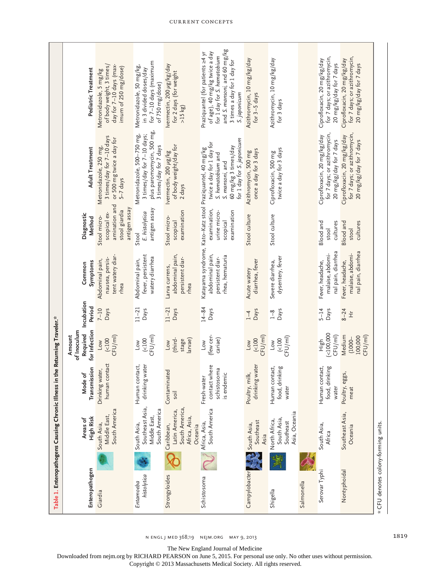|                                     | Table 1. Enteropathogens Causing Chronic Illness                           |                                                           | in the Returning Traveler.*               |                          |                                                                 |                                                                                 |                                                                                                                                                                                      |                                                                                                                                                                                 |
|-------------------------------------|----------------------------------------------------------------------------|-----------------------------------------------------------|-------------------------------------------|--------------------------|-----------------------------------------------------------------|---------------------------------------------------------------------------------|--------------------------------------------------------------------------------------------------------------------------------------------------------------------------------------|---------------------------------------------------------------------------------------------------------------------------------------------------------------------------------|
|                                     |                                                                            |                                                           | of Inoculum<br>Amount                     |                          |                                                                 |                                                                                 |                                                                                                                                                                                      |                                                                                                                                                                                 |
| Enteropathogen                      | High Risk<br>Areas of                                                      | Transmission<br>le of<br>Nod<br>2                         | for Infection<br>Required                 | Incubation<br>Period     | Symptoms<br>Common                                              | Diagnostic<br>Method                                                            | <b>Adult Treatment</b>                                                                                                                                                               | Pediatric Treatment                                                                                                                                                             |
| Giardia                             | South America<br>Middle East,<br>South Asia,                               | contact<br>Drinking water,<br>human                       | CFU/ml)<br>(100<br>Low                    | $7 - 10$<br><b>Days</b>  | tent watery diar-<br>nausea, persis-<br>Abdominal pain,<br>rhea | amination and<br>antigen assay<br>stool giardia<br>scopical ex-<br>Stool micro- | 3 times/day for 7-10 days<br>or 500 mg twice a day for<br>Metronidazole, 250 mg,<br>$5 - 7$ days                                                                                     | of body weight, 3 times/<br>day for 7-10 days (max-<br>imum of 250 mg/dose)<br>Metronidazole, 5 mg/kg                                                                           |
| histolytica<br>Entamoeba            | Southeast Asia,<br>South America<br>Middle East,<br>South Asia,            | Human contact,<br><b>1g</b> water<br>drinkin              | CFU/ml)<br>(100<br>Low                    | $11 - 21$<br>Days        | fever, persistent<br>watery diarrhea<br>Abdominal pain,         | antigen assay<br>E. histolytica<br>Stool                                        | plus paromomycin, 500 mg,<br>Metronidazole, 500-750 mg,<br>3 times/day for 7-10 days;<br>3 times/day for 7 days                                                                      | for 7-10 days (maximum<br>Metronidazole, 50 mg/kg,<br>in 3 divided doses/day<br>of 750 mg/dose)                                                                                 |
| Strongyloides                       | South America,<br>Latin America,<br>Africa, Asia,<br>Caribbean,<br>Oceania | Contaminated<br>soil                                      | (third-<br>larvae)<br>stage<br>Low        | $11 - 21$<br><b>Days</b> | abdominal pain,<br>persistent diar-<br>Larva currens,<br>rhea   | examination<br>Stool micro-<br>scopical                                         | of body weight/day for<br>vermectin, 200 µg/kg<br>2 days                                                                                                                             | vermectin, 200 µg/kg/day<br>for 2 days (for weight<br>>15 kg                                                                                                                    |
| Schistosoma                         | South America<br>Africa, Asia,                                             | contact where<br>schistosoma<br>is endemic<br>Fresh-water | (few cer-<br>cariae)<br>Low               | $14 - 84$<br>Days        | abdominal pain,<br>rhea, hematuria<br>persistent diar-          | examination,<br>urine micro-<br>examination<br>scopical                         | for 1 day for S. japonicum<br>twice a day for 1 day for<br>60 mg/kg 3 times/day<br>Katayama syndrome, Kato-Katz stool Praziquantel, 40 mg/kg<br>S. hematobium and<br>S. mansoni, and | and S. mansoni, and 60 mg/kg<br>Praziquantel (for patients ≥4 yr<br>of age), 40 mg/kg twice a day<br>for 1 day for S. hematobium<br>3 times a day for 1 day for<br>S. japonicum |
| Campylobacter                       | Southeast<br>South Asia,<br>Asia                                           | ng water<br>Poultry, milk,<br>drinkin                     | CFU/ml)<br>(100<br>Low                    | Days<br>$1 - 4$          | diarrhea, fever<br>Acute watery                                 | Stool culture                                                                   | once a day for 3 days<br>Azithromycin, 500 mg                                                                                                                                        | Azithromycin, 10 mg/kg/day<br>for 3-5 days                                                                                                                                      |
| Shigella                            | Asia, Oceania<br>South Asia,<br>North Africa,<br>Southeast                 | Human contact,<br>food, drinking<br>water                 | CFU/ml<br>(100)<br>Low                    | Days<br>$1-8$            | dysentery, fever<br>Severe diarrhea,                            | Stool culture                                                                   | twice a day for 3 days<br>Ciprofloxacin, 500 mg                                                                                                                                      | Azithromycin, 10 mg/kg/day<br>for 3 days                                                                                                                                        |
| Salmonella                          |                                                                            |                                                           |                                           |                          |                                                                 |                                                                                 |                                                                                                                                                                                      |                                                                                                                                                                                 |
| Serovar Typhi                       | South Asia,<br>Africa                                                      | food, drinking<br>Human contact,<br>water                 | $($ <100,000<br>CFU/ml)<br>High           | Days<br>$5 - 14$         | nal pain, diarrhea<br>malaise, abdomi-<br>Fever, headache,      | <b>Blood</b> and<br>cultures<br>stool                                           | for 7 days; or azithromycin,<br>Ciprofloxacin, 20 mg/kg/day<br>20 mg/kg/day for 7 days                                                                                               | for 7 days; or azithromycin,<br>Ciprofloxacin, 20 mg/kg/day<br>20 mg/kg/day for 7 days                                                                                          |
| Nontyphoidal                        | Southeast Asia,<br>Oceania                                                 | Poultry, eggs,<br>meat                                    | Medium<br>CFU/ml)<br>100,000<br>$(1000 -$ | $8 - 24$<br>Ì            | nal pain, diarrhea<br>malaise, abdomi-<br>Fever, headache,      | <b>Blood</b> and<br>cultures<br>stool                                           | for 7 days; or azithromycin,<br>Ciprofloxacin, 20 mg/kg/day<br>20 mg/kg/day for 7 days                                                                                               | for 7 days; or azithromycin,<br>Ciprofloxacin, 20 mg/kg/day<br>20 mg/kg/day for 7 days                                                                                          |
| * CFU denotes colony-forming units. |                                                                            |                                                           |                                           |                          |                                                                 |                                                                                 |                                                                                                                                                                                      |                                                                                                                                                                                 |

n engl j med 368;19 nejm.org may 9, 2013 1819

The New England Journal of Medicine

Downloaded from nejm.org by RICHARD PEARSON on June 5, 2015. For personal use only. No other uses without permission.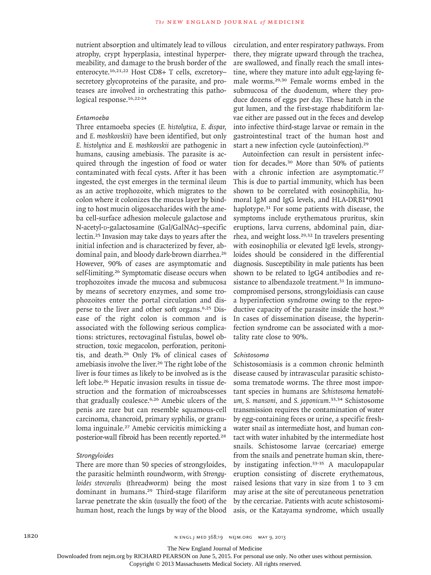nutrient absorption and ultimately lead to villous atrophy, crypt hyperplasia, intestinal hyperpermeability, and damage to the brush border of the enterocyte.16,21,22 Host CD8+ T cells, excretory– secretory glycoproteins of the parasite, and proteases are involved in orchestrating this pathological response.<sup>16,22-24</sup>

# *Entamoeba*

Three entamoeba species (*E. histolytica*, *E. dispar*, and *E. moshkovskii*) have been identified, but only *E. histolytica* and *E. moshkovskii* are pathogenic in humans, causing amebiasis. The parasite is acquired through the ingestion of food or water contaminated with fecal cysts. After it has been ingested, the cyst emerges in the terminal ileum as an active trophozoite, which migrates to the colon where it colonizes the mucus layer by binding to host mucin oligosaccharides with the ameba cell-surface adhesion molecule galactose and N-acetyl-p-galactosamine (Gal/GalNAc)–specific lectin.25 Invasion may take days to years after the initial infection and is characterized by fever, abdominal pain, and bloody dark-brown diarrhea.<sup>26</sup> However, 90% of cases are asymptomatic and self-limiting.<sup>26</sup> Symptomatic disease occurs when trophozoites invade the mucosa and submucosa by means of secretory enzymes, and some trophozoites enter the portal circulation and disperse to the liver and other soft organs.6,25 Disease of the right colon is common and is associated with the following serious complications: strictures, rectovaginal fistulas, bowel obstruction, toxic megacolon, perforation, peritonitis, and death.26 Only 1% of clinical cases of amebiasis involve the liver.<sup>26</sup> The right lobe of the liver is four times as likely to be involved as is the left lobe.<sup>26</sup> Hepatic invasion results in tissue destruction and the formation of microabscesses that gradually coalesce.6,26 Amebic ulcers of the penis are rare but can resemble squamous-cell carcinoma, chancroid, primary syphilis, or granuloma inguinale.27 Amebic cervicitis mimicking a posterior-wall fibroid has been recently reported.<sup>28</sup>

## *Strongyloides*

There are more than 50 species of strongyloides, the parasitic helminth roundworm, with *Strongyloides stercoralis* (threadworm) being the most dominant in humans.29 Third-stage filariform larvae penetrate the skin (usually the foot) of the human host, reach the lungs by way of the blood circulation, and enter respiratory pathways. From there, they migrate upward through the trachea, are swallowed, and finally reach the small intestine, where they mature into adult egg-laying female worms.29,30 Female worms embed in the submucosa of the duodenum, where they produce dozens of eggs per day. These hatch in the gut lumen, and the first-stage rhabditiform larvae either are passed out in the feces and develop into infective third-stage larvae or remain in the gastrointestinal tract of the human host and start a new infection cycle (autoinfection).<sup>29</sup>

Autoinfection can result in persistent infection for decades.30 More than 50% of patients with a chronic infection are asymptomatic.<sup>27</sup> This is due to partial immunity, which has been shown to be correlated with eosinophilia, humoral IgM and IgG levels, and HLA-DRB1\*0901 haplotype.31 For some patients with disease, the symptoms include erythematous pruritus, skin eruptions, larva currens, abdominal pain, diarrhea, and weight loss.29,32 In travelers presenting with eosinophilia or elevated IgE levels, strongyloides should be considered in the differential diagnosis. Susceptibility in male patients has been shown to be related to IgG4 antibodies and resistance to albendazole treatment.<sup>31</sup> In immunocompromised persons, strongyloidiasis can cause a hyperinfection syndrome owing to the reproductive capacity of the parasite inside the host.<sup>30</sup> In cases of dissemination disease, the hyperinfection syndrome can be associated with a mortality rate close to 90%.

#### *Schistosoma*

Schistosomiasis is a common chronic helminth disease caused by intravascular parasitic schistosoma trematode worms. The three most important species in humans are *Schistosoma hematobium, S. mansoni,* and *S. japonicum*. 33,34 Schistosome transmission requires the contamination of water by egg-containing feces or urine, a specific freshwater snail as intermediate host, and human contact with water inhabited by the intermediate host snails. Schistosome larvae (cercariae) emerge from the snails and penetrate human skin, thereby instigating infection.33-35 A maculopapular eruption consisting of discrete erythematous, raised lesions that vary in size from 1 to 3 cm may arise at the site of percutaneous penetration by the cercariae. Patients with acute schistosomiasis, or the Katayama syndrome, which usually

The New England Journal of Medicine

Downloaded from nejm.org by RICHARD PEARSON on June 5, 2015. For personal use only. No other uses without permission.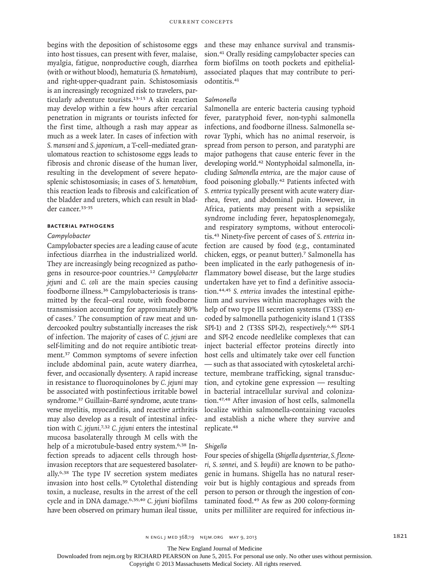begins with the deposition of schistosome eggs into host tissues, can present with fever, malaise, myalgia, fatigue, nonproductive cough, diarrhea (with or without blood), hematuria (*S. hematobium*), and right-upper-quadrant pain. Schistosomiasis is an increasingly recognized risk to travelers, particularly adventure tourists.13-15 A skin reaction may develop within a few hours after cercarial penetration in migrants or tourists infected for the first time, although a rash may appear as much as a week later. In cases of infection with *S. mansoni* and *S. japonicum*, a T-cell–mediated granulomatous reaction to schistosome eggs leads to fibrosis and chronic disease of the human liver, resulting in the development of severe hepatosplenic schistosomiasis; in cases of *S. hematobium*, this reaction leads to fibrosis and calcification of the bladder and ureters, which can result in bladder cancer.33-35

# **Bacterial Pathogens**

#### *Campylobacter*

Campylobacter species are a leading cause of acute infectious diarrhea in the industrialized world. They are increasingly being recognized as pathogens in resource-poor countries.<sup>12</sup> *Campylobacter jejuni* and *C. coli* are the main species causing foodborne illness.36 Campylobacteriosis is transmitted by the fecal–oral route, with foodborne transmission accounting for approximately 80% of cases.7 The consumption of raw meat and undercooked poultry substantially increases the risk of infection. The majority of cases of *C. jejuni* are self-limiting and do not require antibiotic treatment.37 Common symptoms of severe infection include abdominal pain, acute watery diarrhea, fever, and occasionally dysentery. A rapid increase in resistance to fluoroquinolones by *C. jejuni* may be associated with postinfectious irritable bowel syndrome.37 Guillain–Barré syndrome, acute transverse myelitis, myocarditis, and reactive arthritis may also develop as a result of intestinal infection with *C. jejuni*. 7,32 *C. jejuni* enters the intestinal mucosa basolaterally through M cells with the help of a microtubule-based entry system.<sup>6,38</sup> Infection spreads to adjacent cells through hostinvasion receptors that are sequestered basolaterally.6,38 The type IV secretion system mediates invasion into host cells.39 Cytolethal distending toxin, a nuclease, results in the arrest of the cell cycle and in DNA damage.6,39,40 *C. jejuni* biofilms have been observed on primary human ileal tissue,

and these may enhance survival and transmission.41 Orally residing campylobacter species can form biofilms on tooth pockets and epithelialassociated plaques that may contribute to periodontitis.<sup>41</sup>

# *Salmonella*

Salmonella are enteric bacteria causing typhoid fever, paratyphoid fever, non-typhi salmonella infections, and foodborne illness. Salmonella serovar Typhi, which has no animal reservoir, is spread from person to person, and paratyphi are major pathogens that cause enteric fever in the developing world.42 Nontyphoidal salmonella, including *Salmonella enterica*, are the major cause of food poisoning globally.42 Patients infected with *S. enterica* typically present with acute watery diarrhea, fever, and abdominal pain. However, in Africa, patients may present with a sepsislike syndrome including fever, hepatosplenomegaly, and respiratory symptoms, without enterocolitis.43 Ninety-five percent of cases of *S. enterica* infection are caused by food (e.g., contaminated chicken, eggs, or peanut butter).7 Salmonella has been implicated in the early pathogenesis of inflammatory bowel disease, but the large studies undertaken have yet to find a definitive association.44,45 *S. enterica* invades the intestinal epithelium and survives within macrophages with the help of two type III secretion systems (T3SS) encoded by salmonella pathogenicity island 1 (T3SS SPI-1) and 2 (T3SS SPI-2), respectively.<sup>6,46</sup> SPI-1 and SPI-2 encode needlelike complexes that can inject bacterial effector proteins directly into host cells and ultimately take over cell function — such as that associated with cytoskeletal architecture, membrane trafficking, signal transduction, and cytokine gene expression — resulting in bacterial intracellular survival and colonization.47,48 After invasion of host cells, salmonella localize within salmonella-containing vacuoles and establish a niche where they survive and replicate.<sup>48</sup>

#### *Shigella*

Four species of shigella (*Shigella dysenteriae, S. flexneri*, *S. sonnei*, and *S. boydii*) are known to be pathogenic in humans. Shigella has no natural reservoir but is highly contagious and spreads from person to person or through the ingestion of contaminated food.49 As few as 200 colony-forming units per milliliter are required for infectious in-

The New England Journal of Medicine

Downloaded from nejm.org by RICHARD PEARSON on June 5, 2015. For personal use only. No other uses without permission.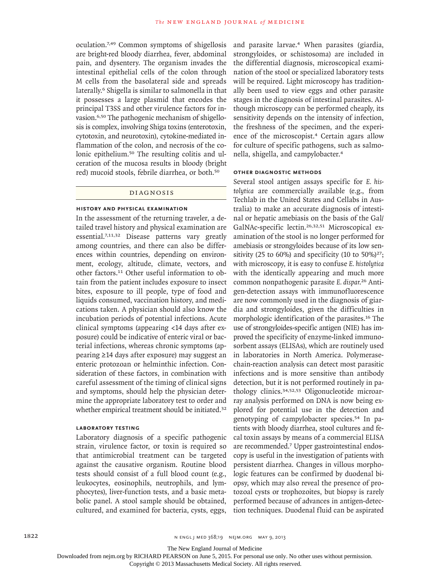oculation.7,49 Common symptoms of shigellosis are bright-red bloody diarrhea, fever, abdominal pain, and dysentery. The organism invades the intestinal epithelial cells of the colon through M cells from the basolateral side and spreads laterally.<sup>6</sup> Shigella is similar to salmonella in that it possesses a large plasmid that encodes the principal T3SS and other virulence factors for invasion.6,50 The pathogenic mechanism of shigellosis is complex, involving Shiga toxins (enterotoxin, cytotoxin, and neurotoxin), cytokine-mediated inflammation of the colon, and necrosis of the colonic epithelium.50 The resulting colitis and ulceration of the mucosa results in bloody (bright red) mucoid stools, febrile diarrhea, or both.<sup>50</sup>

# DI AGNOSIS

#### **History and physical examination**

In the assessment of the returning traveler, a detailed travel history and physical examination are essential.7,11,32 Disease patterns vary greatly among countries, and there can also be differences within countries, depending on environment, ecology, altitude, climate, vectors, and other factors.11 Other useful information to obtain from the patient includes exposure to insect bites, exposure to ill people, type of food and liquids consumed, vaccination history, and medications taken. A physician should also know the incubation periods of potential infections. Acute clinical symptoms (appearing <14 days after exposure) could be indicative of enteric viral or bacterial infections, whereas chronic symptoms (appearing ≥14 days after exposure) may suggest an enteric protozoan or helminthic infection. Consideration of these factors, in combination with careful assessment of the timing of clinical signs and symptoms, should help the physician determine the appropriate laboratory test to order and whether empirical treatment should be initiated.<sup>32</sup>

# **Laboratory testing**

Laboratory diagnosis of a specific pathogenic strain, virulence factor, or toxin is required so that antimicrobial treatment can be targeted against the causative organism. Routine blood tests should consist of a full blood count (e.g., leukocytes, eosinophils, neutrophils, and lymphocytes), liver-function tests, and a basic metabolic panel. A stool sample should be obtained, cultured, and examined for bacteria, cysts, eggs,

and parasite larvae.4 When parasites (giardia, strongyloides, or schistosoma) are included in the differential diagnosis, microscopical examination of the stool or specialized laboratory tests will be required. Light microscopy has traditionally been used to view eggs and other parasite stages in the diagnosis of intestinal parasites. Although microscopy can be performed cheaply, its sensitivity depends on the intensity of infection, the freshness of the specimen, and the experience of the microscopist.4 Certain agars allow for culture of specific pathogens, such as salmonella, shigella, and campylobacter.<sup>4</sup>

#### **Other diagnostic methods**

Several stool antigen assays specific for *E. histolytica* are commercially available (e.g., from Techlab in the United States and Cellabs in Australia) to make an accurate diagnosis of intestinal or hepatic amebiasis on the basis of the Gal/ GalNAc-specific lectin.26,32,51 Microscopical examination of the stool is no longer performed for amebiasis or strongyloides because of its low sensitivity (25 to 60%) and specificity (10 to  $50\%$ )<sup>27</sup>; with microscopy, it is easy to confuse *E. histolytica* with the identically appearing and much more common nonpathogenic parasite *E. dispar*. 26 Antigen-detection assays with immunofluorescence are now commonly used in the diagnosis of giardia and strongyloides, given the difficulties in morphologic identification of the parasites.16 The use of strongyloides-specific antigen (NIE) has improved the specificity of enzyme-linked immunosorbent assays (ELISAs), which are routinely used in laboratories in North America. Polymerasechain-reaction analysis can detect most parasitic infections and is more sensitive than antibody detection, but it is not performed routinely in pathology clinics.34,52,53 Oligonucleotide microarray analysis performed on DNA is now being explored for potential use in the detection and genotyping of campylobacter species.54 In patients with bloody diarrhea, stool cultures and fecal toxin assays by means of a commercial ELISA are recommended.7 Upper gastrointestinal endoscopy is useful in the investigation of patients with persistent diarrhea. Changes in villous morphologic features can be confirmed by duodenal biopsy, which may also reveal the presence of protozoal cysts or trophozoites, but biopsy is rarely performed because of advances in antigen-detection techniques. Duodenal fluid can be aspirated

The New England Journal of Medicine

Downloaded from nejm.org by RICHARD PEARSON on June 5, 2015. For personal use only. No other uses without permission.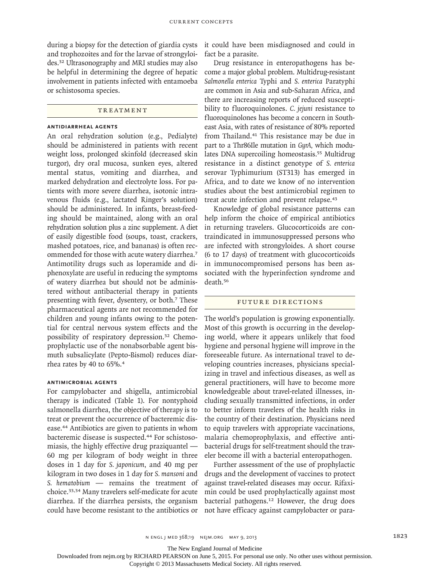during a biopsy for the detection of giardia cysts and trophozoites and for the larvae of strongyloides.32 Ultrasonography and MRI studies may also be helpful in determining the degree of hepatic involvement in patients infected with entamoeba or schistosoma species.

# **TREATMENT**

## **Antidiarrheal agents**

An oral rehydration solution (e.g., Pedialyte) should be administered in patients with recent weight loss, prolonged skinfold (decreased skin turgor), dry oral mucosa, sunken eyes, altered mental status, vomiting and diarrhea, and marked dehydration and electrolyte loss. For patients with more severe diarrhea, isotonic intravenous fluids (e.g., lactated Ringer's solution) should be administered. In infants, breast-feeding should be maintained, along with an oral rehydration solution plus a zinc supplement. A diet of easily digestible food (soups, toast, crackers, mashed potatoes, rice, and bananas) is often recommended for those with acute watery diarrhea.<sup>7</sup> Antimotility drugs such as loperamide and diphenoxylate are useful in reducing the symptoms of watery diarrhea but should not be administered without antibacterial therapy in patients presenting with fever, dysentery, or both.7 These pharmaceutical agents are not recommended for children and young infants owing to the potential for central nervous system effects and the possibility of respiratory depression.32 Chemoprophylactic use of the nonabsorbable agent bismuth subsalicylate (Pepto-Bismol) reduces diarrhea rates by 40 to 65%.<sup>4</sup>

# **Antimicrobial agents**

For campylobacter and shigella, antimicrobial therapy is indicated (Table 1). For nontyphoid salmonella diarrhea, the objective of therapy is to treat or prevent the occurrence of bacteremic disease.44 Antibiotics are given to patients in whom bacteremic disease is suspected.44 For schistosomiasis, the highly effective drug praziquantel — 60 mg per kilogram of body weight in three doses in 1 day for *S. japonicum*, and 40 mg per kilogram in two doses in 1 day for *S. mansoni* and *S. hematobium* — remains the treatment of choice.33,34 Many travelers self-medicate for acute diarrhea. If the diarrhea persists, the organism could have become resistant to the antibiotics or

it could have been misdiagnosed and could in fact be a parasite.

Drug resistance in enteropathogens has become a major global problem. Multidrug-resistant *Salmonella enterica* Typhi and *S. enterica* Paratyphi are common in Asia and sub-Saharan Africa, and there are increasing reports of reduced susceptibility to fluoroquinolones. *C. jejuni* resistance to fluoroquinolones has become a concern in Southeast Asia, with rates of resistance of 80% reported from Thailand.41 This resistance may be due in part to a Thr86Ile mutation in *GyrA,* which modulates DNA supercoiling homeostasis.<sup>55</sup> Multidrug resistance in a distinct genotype of *S. enterica* serovar Typhimurium (ST313) has emerged in Africa, and to date we know of no intervention studies about the best antimicrobial regimen to treat acute infection and prevent relapse.<sup>43</sup>

Knowledge of global resistance patterns can help inform the choice of empirical antibiotics in returning travelers. Glucocorticoids are contraindicated in immunosuppressed persons who are infected with strongyloides. A short course (6 to 17 days) of treatment with glucocorticoids in immunocompromised persons has been associated with the hyperinfection syndrome and death.<sup>56</sup>

### FUTURE DIRECTIONS

The world's population is growing exponentially. Most of this growth is occurring in the developing world, where it appears unlikely that food hygiene and personal hygiene will improve in the foreseeable future. As international travel to developing countries increases, physicians specializing in travel and infectious diseases, as well as general practitioners, will have to become more knowledgeable about travel-related illnesses, including sexually transmitted infections, in order to better inform travelers of the health risks in the country of their destination. Physicians need to equip travelers with appropriate vaccinations, malaria chemoprophylaxis, and effective antibacterial drugs for self-treatment should the traveler become ill with a bacterial enteropathogen.

Further assessment of the use of prophylactic drugs and the development of vaccines to protect against travel-related diseases may occur. Rifaximin could be used prophylactically against most bacterial pathogens.<sup>12</sup> However, the drug does not have efficacy against campylobacter or para-

The New England Journal of Medicine

Downloaded from nejm.org by RICHARD PEARSON on June 5, 2015. For personal use only. No other uses without permission.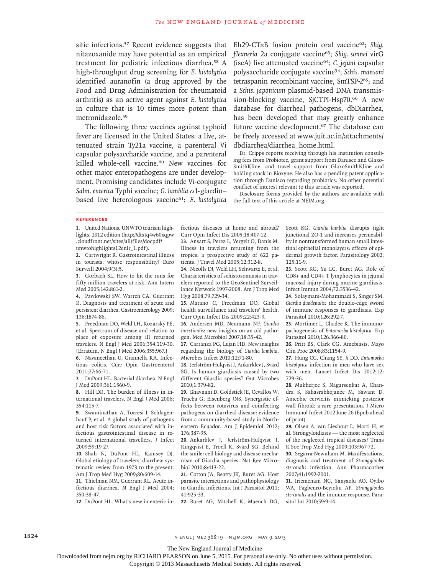sitic infections.<sup>57</sup> Recent evidence suggests that Eh29-CT×B fusion protein oral vaccine<sup>62</sup>; Shig. nitazoxanide may have potential as an empirical treatment for pediatric infectious diarrhea.58 A high-throughput drug screening for *E. histolytica* identified auranofin (a drug approved by the Food and Drug Administration for rheumatoid arthritis) as an active agent against *E. histolytica* in culture that is 10 times more potent than metronidazole.<sup>59</sup>

The following three vaccines against typhoid fever are licensed in the United States: a live, attenuated strain Ty21a vaccine, a parenteral Vi capsular polysaccharide vaccine, and a parenteral killed whole-cell vaccine.<sup>60</sup> New vaccines for other major enteropathogens are under development. Promising candidates include Vi-conjugate *Salm. enterica* Typhi vaccine; *G. lamblia* α1-giardin– based live heterologous vaccine61; *E. histolytica*

*flexneria* 2a conjugate vaccine63; *Shig. sonnei* virG (iscA) live attenuated vaccine64; *C. jejuni* capsular polysaccharide conjugate vaccine34; *Schis. mansoni* tetraspanin recombinant vaccine, SmTSP-265; and a *Schis. japonicum* plasmid-based DNA transmission-blocking vaccine, SjCTPI-Hsp70.<sup>66</sup> A new database for diarrheal pathogens, dbDiarrhea, has been developed that may greatly enhance future vaccine development.<sup>67</sup> The database can be freely accessed at www.juit.ac.in/attachments/ dbdiarrhea/diarrhea\_home.html.

Dr. Cripps reports receiving through his institution consulting fees from Probiotec, grant support from Danisco and Glaxo-SmithKline, and travel support from GlaxoSmithKline and holding stock in Bioxyne. He also has a pending patent application through Danisco regarding probiotics. No other potential conflict of interest relevant to this article was reported.

Disclosure forms provided by the authors are available with the full text of this article at NEJM.org.

#### **References**

**1.** United Nations. UNWTO tourism highlights. 2012 edition (http://dtxtq4w60xqpw .cloudfront.net/sites/all/files/docpdf/ unwtohighlights12enlr\_1.pdf).

**2.** Cartwright R. Gastrointestinal illness in tourists: whose responsibility? Euro Surveill 2004;9(3):5.

**3.** Gorbach SL. How to hit the runs for fifty million travelers at risk. Ann Intern Med 2005;142:861-2.

**4.** Pawlowski SW, Warren CA, Guerrant R. Diagnosis and treatment of acute and persistent diarrhea. Gastroenterology 2009; 136:1874-86.

**5.** Freedman DO, Weld LH, Kozarsky PE, et al. Spectrum of disease and relation to place of exposure among ill returned travelers. N Engl J Med 2006;354:119-30. [Erratum, N Engl J Med 2006;355:967.]

**6.** Navaneethan U, Giannella RA. Infectious colitis. Curr Opin Gastroenterol 2011;27:66-71.

**7.** DuPont HL. Bacterial diarrhea. N Engl J Med 2009;361:1560-9.

**8.** Hill DR. The burden of illness in international travelers. N Engl J Med 2006; 354:115-7.

**9.** Swaminathan A, Torresi J, Schlagenhauf P, et al. A global study of pathogens and host risk factors associated with infectious gastrointestinal disease in returned international travellers. J Infect 2009;59:19-27.

**10.** Shah N, DuPont HL, Ramsey DJ. Global etiology of travelers' diarrhea: systematic review from 1973 to the present. Am J Trop Med Hyg 2009;80:609-14.

**11.** Thielman NM, Guerrant RL. Acute infectious diarrhea. N Engl J Med 2004; 350:38-47.

**12.** DuPont HL. What's new in enteric in-

fectious diseases at home and abroad? Curr Opin Infect Dis 2005;18:407-12.

**13.** Ansart S, Perez L, Vergelt O, Danis M. Illness in travelers returning from the tropics: a prospective study of 622 patients. J Travel Med 2005;12:312-8.

**14.** Nicolls DJ, Weld LH, Schwartz E, et al. Characteristics of schistosomiasis in travelers reported to the GeoSentinel Surveillance Network 1997-2008. Am J Trop Med Hyg 2008;79:729-34.

**15.** Marano C, Freedman DO. Global health surveillance and travelers' health. Curr Opin Infect Dis 2009;22:423-9.

**16.** Andersen MD, Neumann NF. *Giardia intestinalis*: new insights on an old pathogen. Med Microbiol 2007;18:35-42.

**17.** Carranza PG, Lujan HD. New insights regarding the biology of *Giardia lamblia.* Microbes Infect 2010;12:71-80.

**18.** Jerlström-Hulqvist J, Ankarklev J, Svärd SG. Is human giardiasis caused by two different Giardia species? Gut Microbes 2010;1:379-82.

**19.** Bhavnani D, Goldstick JE, Cevallos W, Trueba G, Eisenberg JNS. Synergistic effects between rotavirus and coinfecting pathogens on diarrheal disease: evidence from a community-based study in Northeastern Ecuador. Am J Epidemiol 2012; 176:387-95.

**20.** Ankarklev J, Jerlström-Hulqvist J, Ringqvist E, Troell K, Svärd SG. Behind the smile: cell biology and disease mechanism of Giardia species. Nat Rev Microbiol 2010;8:413-22.

**21.** Cotton JA, Beatty JK, Buret AG. Host parasite interactions and pathophysiology in Giardia infections. Int J Parasitol 2011; 41:925-33.

**22.** Buret AG, Mitchell K, Muench DG,

Scott KG. *Giardia lamblia* disrupts tight junctional ZO-1 and increases permeability in nontransformed human small intestinal epithelial monolayers: effects of epidermal growth factor. Parasitology 2002; 125:11-9.

**23.** Scott KG, Yu LC, Buret AG. Role of CD8+ and CD4+ T lymphocytes in jejunal mucosal injury during murine giardiasis. Infect Immun 2004;72:3536-42.

**24.** Solaymani-Mohammadi S, Singer SM. *Giardia duodenalis*: the double-edge sword of immune responses to giardiasis. Exp Parasitol 2010;126:292-7.

**25.** Mortimer L, Chadee K. The immunopathogenesis of *Entamoeba histolytica.* Exp Parasitol 2010;126:366-80.

**26.** Pritt BS, Clark CG. Amebiasis. Mayo Clin Proc 2008;83:1154-9.

**27.** Hung CC, Chang SY, Ji DD. *Entamoeba histolytica* infection in men who have sex with men. Lancet Infect Dis 2012;12: 729-36.

**28.** Mukherjee S, Nagarsenkar A, Chandra S, Sahasrabhojanee M, Sawant D. Ameobic cervicitis mimicking posterior wall fibroid: a rare presentation. J Micro Immunol Infect 2012 June 26 (Epub ahead of print).

**29.** Olsen A, van Lieshout L, Marti H, et al. Strongyloidiasis — the most neglected of the neglected tropical diseases? Trans R Soc Trop Med Hyg 2009;103:967-72.

**30.** Segarra-Newnham M. Manifestations, diagnosis and treatment of *Strongyloides stercoralis* infection. Ann Pharmacother 2007;41:1992-2001.

**31.** Iriemenam NC, Sanyaolu AO, Oyibo WA, Fagbenro-Beyioku AF. *Strongyloides stercoralis* and the immune response. Parasitol Int 2010;59:9-14.

1824 **1824** n engl j med 368;19 nejm.org may 9, 2013

The New England Journal of Medicine

Downloaded from nejm.org by RICHARD PEARSON on June 5, 2015. For personal use only. No other uses without permission.